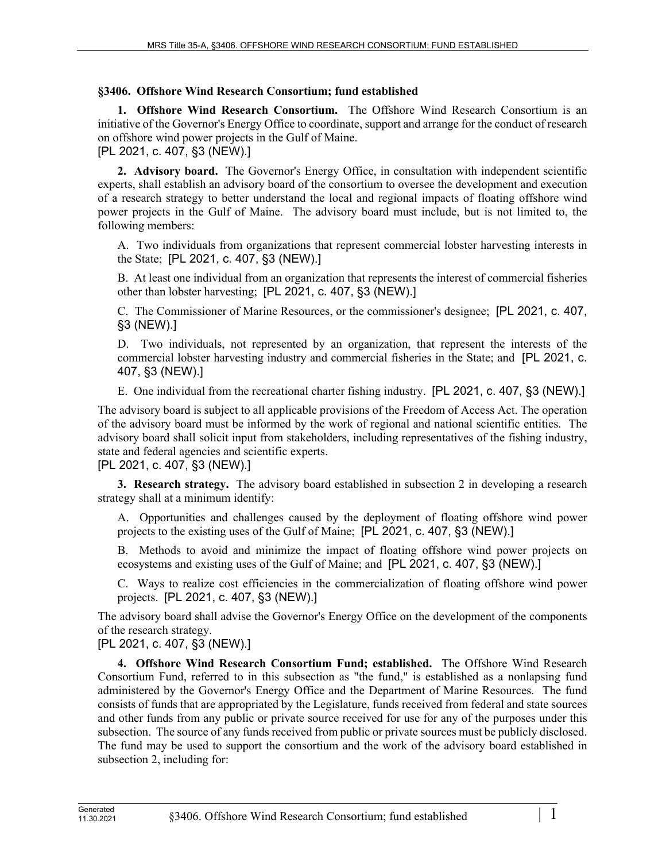## **§3406. Offshore Wind Research Consortium; fund established**

**1. Offshore Wind Research Consortium.** The Offshore Wind Research Consortium is an initiative of the Governor's Energy Office to coordinate, support and arrange for the conduct of research on offshore wind power projects in the Gulf of Maine.

[PL 2021, c. 407, §3 (NEW).]

**2. Advisory board.** The Governor's Energy Office, in consultation with independent scientific experts, shall establish an advisory board of the consortium to oversee the development and execution of a research strategy to better understand the local and regional impacts of floating offshore wind power projects in the Gulf of Maine. The advisory board must include, but is not limited to, the following members:

A. Two individuals from organizations that represent commercial lobster harvesting interests in the State; [PL 2021, c. 407, §3 (NEW).]

B. At least one individual from an organization that represents the interest of commercial fisheries other than lobster harvesting; [PL 2021, c. 407, §3 (NEW).]

C. The Commissioner of Marine Resources, or the commissioner's designee; [PL 2021, c. 407, §3 (NEW).]

D. Two individuals, not represented by an organization, that represent the interests of the commercial lobster harvesting industry and commercial fisheries in the State; and [PL 2021, c. 407, §3 (NEW).]

E. One individual from the recreational charter fishing industry. [PL 2021, c. 407, §3 (NEW).]

The advisory board is subject to all applicable provisions of the Freedom of Access Act. The operation of the advisory board must be informed by the work of regional and national scientific entities. The advisory board shall solicit input from stakeholders, including representatives of the fishing industry, state and federal agencies and scientific experts.

[PL 2021, c. 407, §3 (NEW).]

**3. Research strategy.** The advisory board established in subsection 2 in developing a research strategy shall at a minimum identify:

A. Opportunities and challenges caused by the deployment of floating offshore wind power projects to the existing uses of the Gulf of Maine; [PL 2021, c. 407, §3 (NEW).]

B. Methods to avoid and minimize the impact of floating offshore wind power projects on ecosystems and existing uses of the Gulf of Maine; and [PL 2021, c. 407, §3 (NEW).]

C. Ways to realize cost efficiencies in the commercialization of floating offshore wind power projects. [PL 2021, c. 407, §3 (NEW).]

The advisory board shall advise the Governor's Energy Office on the development of the components of the research strategy.

[PL 2021, c. 407, §3 (NEW).]

**4. Offshore Wind Research Consortium Fund; established.** The Offshore Wind Research Consortium Fund, referred to in this subsection as "the fund," is established as a nonlapsing fund administered by the Governor's Energy Office and the Department of Marine Resources. The fund consists of funds that are appropriated by the Legislature, funds received from federal and state sources and other funds from any public or private source received for use for any of the purposes under this subsection. The source of any funds received from public or private sources must be publicly disclosed. The fund may be used to support the consortium and the work of the advisory board established in subsection 2, including for: